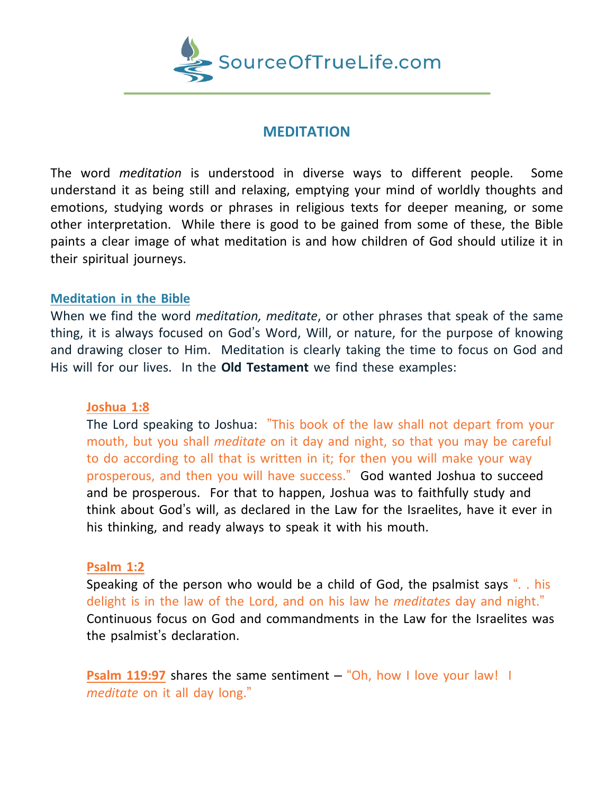

# **MEDITATION**

The word *meditation* is understood in diverse ways to different people. Some understand it as being still and relaxing, emptying your mind of worldly thoughts and emotions, studying words or phrases in religious texts for deeper meaning, or some other interpretation. While there is good to be gained from some of these, the Bible paints a clear image of what meditation is and how children of God should utilize it in their spiritual journeys.

## **Meditation in the Bible**

When we find the word *meditation, meditate*, or other phrases that speak of the same thing, it is always focused on God's Word, Will, or nature, for the purpose of knowing and drawing closer to Him. Meditation is clearly taking the time to focus on God and His will for our lives. In the **Old Testament** we find these examples:

### **Joshua 1:8**

The Lord speaking to Joshua: "This book of the law shall not depart from your mouth, but you shall *meditate* on it day and night, so that you may be careful to do according to all that is written in it; for then you will make your way prosperous, and then you will have success." God wanted Joshua to succeed and be prosperous. For that to happen, Joshua was to faithfully study and think about God's will, as declared in the Law for the Israelites, have it ever in his thinking, and ready always to speak it with his mouth.

### **Psalm 1:2**

Speaking of the person who would be a child of God, the psalmist says ". . his delight is in the law of the Lord, and on his law he *meditates* day and night." Continuous focus on God and commandments in the Law for the Israelites was the psalmist's declaration.

**Psalm 119:97** shares the same sentiment – "Oh, how I love your law! I *meditate* on it all day long."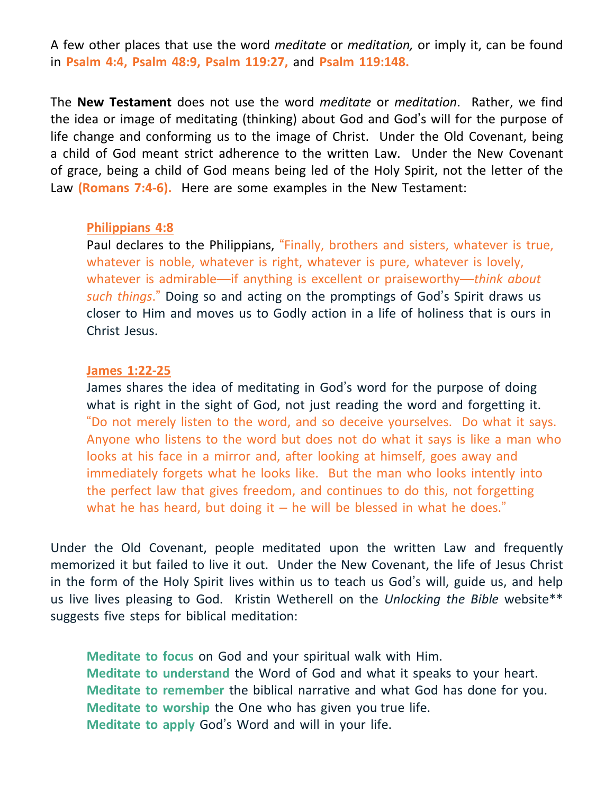A few other places that use the word *meditate* or *meditation,* or imply it, can be found in **Psalm 4:4, Psalm 48:9, Psalm 119:27,** and **Psalm 119:148.**

The **New Testament** does not use the word *meditate* or *meditation*. Rather, we find the idea or image of meditating (thinking) about God and God's will for the purpose of life change and conforming us to the image of Christ. Under the Old Covenant, being a child of God meant strict adherence to the written Law. Under the New Covenant of grace, being a child of God means being led of the Holy Spirit, not the letter of the Law **(Romans 7:4-6).** Here are some examples in the New Testament:

#### **Philippians 4:8**

Paul declares to the Philippians, "Finally, brothers and sisters, whatever is true, whatever is noble, whatever is right, whatever is pure, whatever is lovely, whatever is admirable—if anything is excellent or praiseworthy—*think about such things*." Doing so and acting on the promptings of God's Spirit draws us closer to Him and moves us to Godly action in a life of holiness that is ours in Christ Jesus.

#### **James 1:22-25**

James shares the idea of meditating in God's word for the purpose of doing what is right in the sight of God, not just reading the word and forgetting it. "Do not merely listen to the word, and so deceive yourselves. Do what it says. Anyone who listens to the word but does not do what it says is like a man who looks at his face in a mirror and, after looking at himself, goes away and immediately forgets what he looks like. But the man who looks intently into the perfect law that gives freedom, and continues to do this, not forgetting what he has heard, but doing it  $-$  he will be blessed in what he does."

Under the Old Covenant, people meditated upon the written Law and frequently memorized it but failed to live it out. Under the New Covenant, the life of Jesus Christ in the form of the Holy Spirit lives within us to teach us God's will, guide us, and help us live lives pleasing to God. Kristin Wetherell on the *Unlocking the Bible* website\*\* suggests five steps for biblical meditation:

**Meditate to focus** on God and your spiritual walk with Him. **Meditate to understand** the Word of God and what it speaks to your heart. **Meditate to remember** the biblical narrative and what God has done for you. **Meditate to worship** the One who has given you true life. **Meditate to apply** God's Word and will in your life.